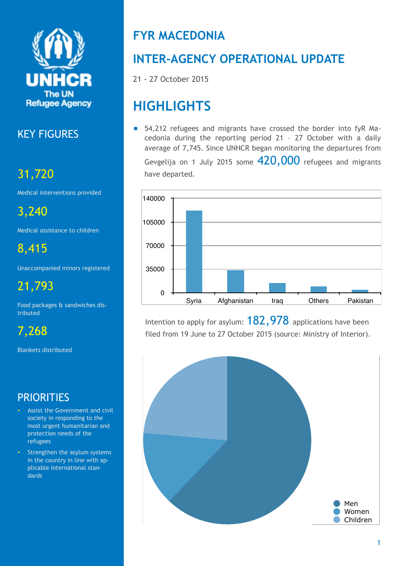

# KEY FIGURES

# 31,720

Medical interventions provided

3,240

Medical assistance to children

8,415

Unaccompanied minors registered

21,793

Food packages & sandwiches distributed

7,268

Blankets distributed

# **PRIORITIES**

- Assist the Government and civil society in responding to the most urgent humanitarian and protection needs of the refugees
- Strengthen the asylum systems in the country in line with applicable international standards

# **FYR MACEDONIA**

# **INTER-AGENCY OPERATIONAL UPDATE**

21 - 27 October 2015

# **HIGHLIGHTS**

■ 54,212 refugees and migrants have crossed the border into fyR Macedonia during the reporting period 21 – 27 October with a daily average of 7,745. Since UNHCR began monitoring the departures from Gevgelija on 1 July 2015 some  $420,000$  refugees and migrants have departed*.*



Intention to apply for asylum:  $182,978$  applications have been filed from 19 June to 27 October 2015 (source: Ministry of Interior).

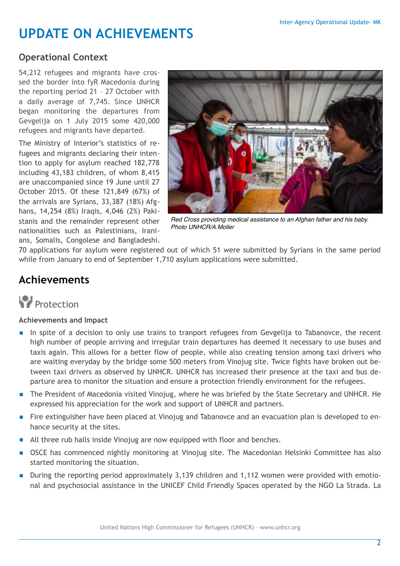# **UPDATE ON ACHIEVEMENTS**

## **Operational Context**

54,212 refugees and migrants have crossed the border into fyR Macedonia during the reporting period 21 – 27 October with a daily average of 7,745. Since UNHCR began monitoring the departures from Gevgelija on 1 July 2015 some 420,000 refugees and migrants have departed.

The Ministry of Interior's statistics of refugees and migrants declaring their intention to apply for asylum reached 182,778 including 43,183 children, of whom 8,415 are unaccompanied since 19 June until 27 October 2015. Of these 121,849 (67%) of the arrivals are Syrians, 33,387 (18%) Afghans, 14,254 (8%) Iraqis, 4,046 (2%) Pakistanis and the remainder represent other nationalities such as Palestinians, Iranians, Somalis, Congolese and Bangladeshi.



*Red Cross providing medical assistance to an Afghan father and his baby. Photo UNHCR/A.Moller*

70 applications for asylum were registered out of which 51 were submitted by Syrians in the same period while from January to end of September 1,710 asylum applications were submitted.

## **Achievements**

# **Protection**

### **Achievements and Impact**

- In spite of a decision to only use trains to tranport refugees from Gevgelija to Tabanovce, the recent high number of people arriving and irregular train departures has deemed it necessary to use buses and taxis again. This allows for a better flow of people, while also creating tension among taxi drivers who are waiting everyday by the bridge some 500 meters from Vinojug site. Twice fights have broken out between taxi drivers as observed by UNHCR. UNHCR has increased their presence at the taxi and bus departure area to monitor the situation and ensure a protection friendly environment for the refugees.
- The President of Macedonia visited Vinojug, where he was briefed by the State Secretary and UNHCR. He expressed his appreciation for the work and support of UNHCR and partners.
- Fire extinguisher have been placed at Vinojug and Tabanovce and an evacuation plan is developed to enhance security at the sites.
- All three rub halls inside Vinojug are now equipped with floor and benches.
- OSCE has commenced nightly monitoring at Vinojug site. The Macedonian Helsinki Committee has also started monitoring the situation.
- During the reporting period approximately 3,139 children and 1,112 women were provided with emotional and psychosocial assistance in the UNICEF Child Friendly Spaces operated by the NGO La Strada. La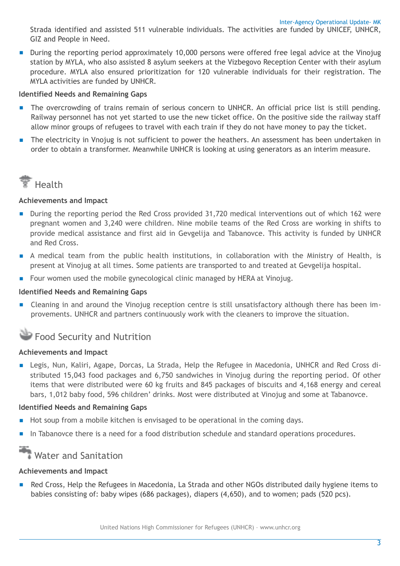Strada identified and assisted 511 vulnerable individuals. The activities are funded by UNICEF, UNHCR, GIZ and People in Need.

■ During the reporting period approximately 10,000 persons were offered free legal advice at the Vinojug station by MYLA, who also assisted 8 asylum seekers at the Vizbegovo Reception Center with their asylum procedure. MYLA also ensured prioritization for 120 vulnerable individuals for their registration. The MYLA activities are funded by UNHCR.

#### **Identified Needs and Remaining Gaps**

- The overcrowding of trains remain of serious concern to UNHCR. An official price list is still pending. Railway personnel has not yet started to use the new ticket office. On the positive side the railway staff allow minor groups of refugees to travel with each train if they do not have money to pay the ticket.
- The electricity in Vnojug is not sufficient to power the heathers. An assessment has been undertaken in order to obtain a transformer. Meanwhile UNHCR is looking at using generators as an interim measure.



#### **Achievements and Impact**

- During the reporting period the Red Cross provided 31,720 medical interventions out of which 162 were pregnant women and 3,240 were children. Nine mobile teams of the Red Cross are working in shifts to provide medical assistance and first aid in Gevgelija and Tabanovce. This activity is funded by UNHCR and Red Cross.
- A medical team from the public health institutions, in collaboration with the Ministry of Health, is present at Vinojug at all times. Some patients are transported to and treated at Gevgelija hospital.
- Four women used the mobile gynecological clinic managed by HERA at Vinojug.

#### **Identified Needs and Remaining Gaps**

■ Cleaning in and around the Vinojug reception centre is still unsatisfactory although there has been improvements. UNHCR and partners continuously work with the cleaners to improve the situation.

## Food Security and Nutrition

#### **Achievements and Impact**

■ Legis, Nun, Kaliri, Agape, Dorcas, La Strada, Help the Refugee in Macedonia, UNHCR and Red Cross distributed 15,043 food packages and 6,750 sandwiches in Vinojug during the reporting period. Of other items that were distributed were 60 kg fruits and 845 packages of biscuits and 4,168 energy and cereal bars, 1,012 baby food, 596 children' drinks. Most were distributed at Vinojug and some at Tabanovce.

#### **Identified Needs and Remaining Gaps**

- Hot soup from a mobile kitchen is envisaged to be operational in the coming days.
- In Tabanovce there is a need for a food distribution schedule and standard operations procedures.

## Water and Sanitation

#### **Achievements and Impact**

Red Cross, Help the Refugees in Macedonia, La Strada and other NGOs distributed daily hygiene items to babies consisting of: baby wipes (686 packages), diapers (4,650), and to women; pads (520 pcs).